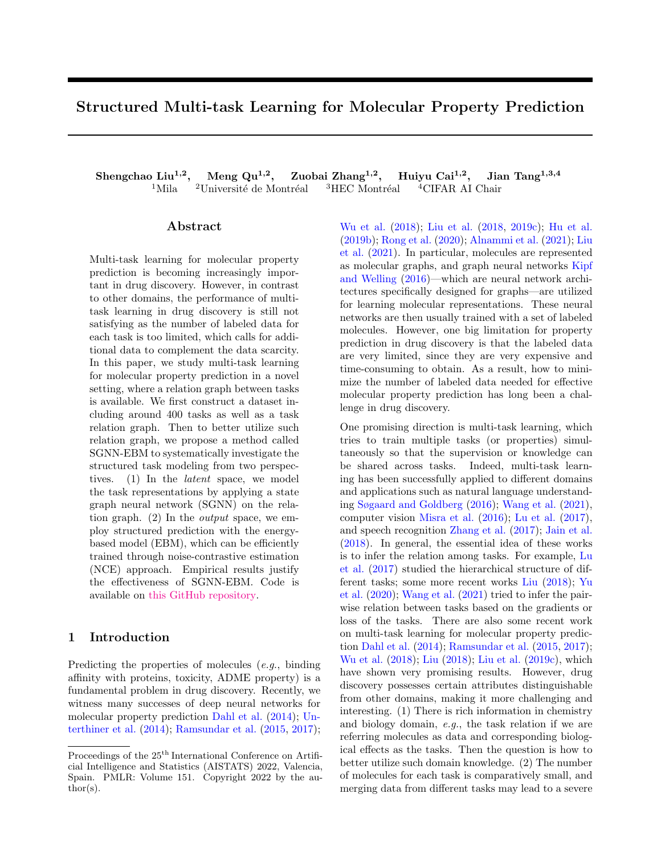# Structured Multi-task Learning for Molecular Property Prediction

Shengchao Liu<sup>1,2</sup>, Meng Qu<sup>1,2</sup>, Zuobai Zhang<sup>1,2</sup>, Huiyu Cai<sup>1,2</sup>, Jian Tang<sup>1,3,4</sup>  $^1\rm{Mila}$   $^{-2}\rm{Université}$ de Montréal  $^{-3}\rm{HEC}$  Montréal  $^{-4}\rm{CIFAR}$  AI Chair

#### Abstract

Multi-task learning for molecular property prediction is becoming increasingly important in drug discovery. However, in contrast to other domains, the performance of multitask learning in drug discovery is still not satisfying as the number of labeled data for each task is too limited, which calls for additional data to complement the data scarcity. In this paper, we study multi-task learning for molecular property prediction in a novel setting, where a relation graph between tasks is available. We first construct a dataset including around 400 tasks as well as a task relation graph. Then to better utilize such relation graph, we propose a method called SGNN-EBM to systematically investigate the structured task modeling from two perspectives. (1) In the latent space, we model the task representations by applying a state graph neural network (SGNN) on the relation graph. (2) In the output space, we employ structured prediction with the energybased model (EBM), which can be efficiently trained through noise-contrastive estimation (NCE) approach. Empirical results justify the effectiveness of SGNN-EBM. Code is available on [this GitHub repository.](https://github.com/chao1224/SGNN-EBM)

# <span id="page-0-0"></span>1 Introduction

Predicting the properties of molecules (e.g., binding affinity with proteins, toxicity, ADME property) is a fundamental problem in drug discovery. Recently, we witness many successes of deep neural networks for molecular property prediction [Dahl et al.](#page-8-0) [\(2014\)](#page-8-0); [Un](#page-10-0)[terthiner et al.](#page-10-0) [\(2014\)](#page-10-0); [Ramsundar et al.](#page-9-0) [\(2015,](#page-9-0) [2017\)](#page-9-1); [Wu et al.](#page-10-1) [\(2018\)](#page-10-1); [Liu et al.](#page-9-2) [\(2018,](#page-9-2) [2019c\)](#page-9-3); [Hu et al.](#page-8-1) [\(2019b\)](#page-8-1); [Rong et al.](#page-9-4) [\(2020\)](#page-9-4); [Alnammi et al.](#page-8-2) [\(2021\)](#page-8-2); [Liu](#page-9-5) [et al.](#page-9-5) [\(2021\)](#page-9-5). In particular, molecules are represented as molecular graphs, and graph neural networks [Kipf](#page-9-6) [and Welling](#page-9-6) [\(2016\)](#page-9-6)—which are neural network architectures specifically designed for graphs—are utilized for learning molecular representations. These neural networks are then usually trained with a set of labeled molecules. However, one big limitation for property prediction in drug discovery is that the labeled data are very limited, since they are very expensive and time-consuming to obtain. As a result, how to minimize the number of labeled data needed for effective molecular property prediction has long been a challenge in drug discovery.

One promising direction is multi-task learning, which tries to train multiple tasks (or properties) simultaneously so that the supervision or knowledge can be shared across tasks. Indeed, multi-task learning has been successfully applied to different domains and applications such as natural language understanding [Søgaard and Goldberg](#page-9-7) [\(2016\)](#page-9-7); [Wang et al.](#page-10-2) [\(2021\)](#page-10-2), computer vision [Misra et al.](#page-9-8) [\(2016\)](#page-9-8); [Lu et al.](#page-9-9) [\(2017\)](#page-9-9), and speech recognition [Zhang et al.](#page-10-3) [\(2017\)](#page-10-3); [Jain et al.](#page-9-10) [\(2018\)](#page-9-10). In general, the essential idea of these works is to infer the relation among tasks. For example, [Lu](#page-9-9) [et al.](#page-9-9) [\(2017\)](#page-9-9) studied the hierarchical structure of different tasks; some more recent works [Liu](#page-9-11) [\(2018\)](#page-9-11); [Yu](#page-10-4) [et al.](#page-10-4) [\(2020\)](#page-10-4); [Wang et al.](#page-10-2) [\(2021\)](#page-10-2) tried to infer the pairwise relation between tasks based on the gradients or loss of the tasks. There are also some recent work on multi-task learning for molecular property prediction [Dahl et al.](#page-8-0) [\(2014\)](#page-8-0); [Ramsundar et al.](#page-9-0) [\(2015,](#page-9-0) [2017\)](#page-9-1); [Wu et al.](#page-10-1) [\(2018\)](#page-10-1); [Liu](#page-9-11) [\(2018\)](#page-9-11); [Liu et al.](#page-9-3) [\(2019c\)](#page-9-3), which have shown very promising results. However, drug discovery possesses certain attributes distinguishable from other domains, making it more challenging and interesting. (1) There is rich information in chemistry and biology domain, e.g., the task relation if we are referring molecules as data and corresponding biological effects as the tasks. Then the question is how to better utilize such domain knowledge. (2) The number of molecules for each task is comparatively small, and merging data from different tasks may lead to a severe

Proceedings of the 25<sup>th</sup> International Conference on Artificial Intelligence and Statistics (AISTATS) 2022, Valencia, Spain. PMLR: Volume 151. Copyright 2022 by the au- $\text{thor}(s)$ .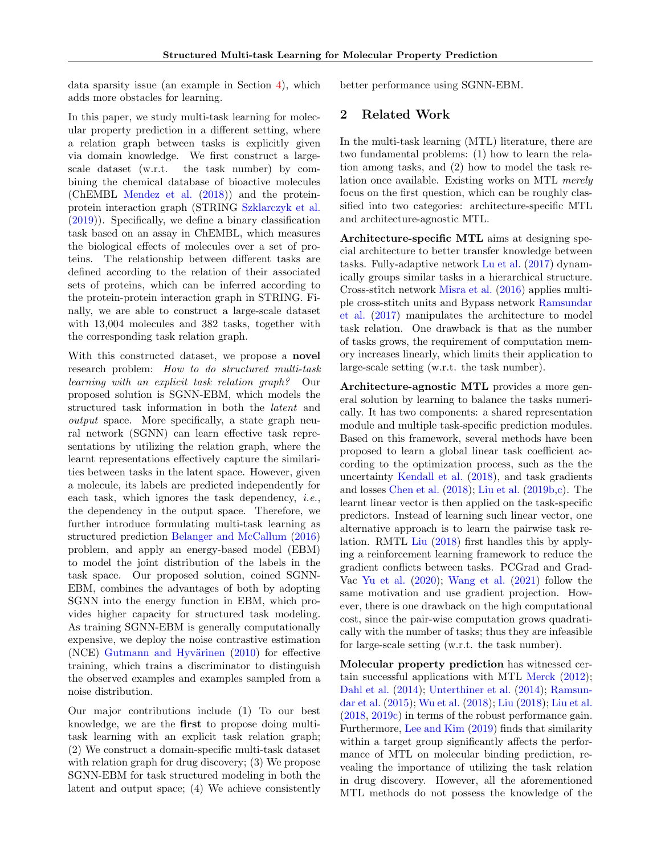data sparsity issue (an example in Section [4\)](#page-2-0), which adds more obstacles for learning.

In this paper, we study multi-task learning for molecular property prediction in a different setting, where a relation graph between tasks is explicitly given via domain knowledge. We first construct a largescale dataset (w.r.t. the task number) by combining the chemical database of bioactive molecules (ChEMBL [Mendez et al.](#page-9-12) [\(2018\)](#page-9-12)) and the proteinprotein interaction graph (STRING [Szklarczyk et al.](#page-10-5) [\(2019\)](#page-10-5)). Specifically, we define a binary classification task based on an assay in ChEMBL, which measures the biological effects of molecules over a set of proteins. The relationship between different tasks are defined according to the relation of their associated sets of proteins, which can be inferred according to the protein-protein interaction graph in STRING. Finally, we are able to construct a large-scale dataset with 13,004 molecules and 382 tasks, together with the corresponding task relation graph.

With this constructed dataset, we propose a novel research problem: How to do structured multi-task learning with an explicit task relation graph? Our proposed solution is SGNN-EBM, which models the structured task information in both the latent and output space. More specifically, a state graph neural network (SGNN) can learn effective task representations by utilizing the relation graph, where the learnt representations effectively capture the similarities between tasks in the latent space. However, given a molecule, its labels are predicted independently for each task, which ignores the task dependency, *i.e.*, the dependency in the output space. Therefore, we further introduce formulating multi-task learning as structured prediction [Belanger and McCallum](#page-8-3) [\(2016\)](#page-8-3) problem, and apply an energy-based model (EBM) to model the joint distribution of the labels in the task space. Our proposed solution, coined SGNN-EBM, combines the advantages of both by adopting SGNN into the energy function in EBM, which provides higher capacity for structured task modeling. As training SGNN-EBM is generally computationally expensive, we deploy the noise contrastive estimation (NCE) Gutmann and Hyvärinen  $(2010)$  for effective training, which trains a discriminator to distinguish the observed examples and examples sampled from a noise distribution.

Our major contributions include (1) To our best knowledge, we are the first to propose doing multitask learning with an explicit task relation graph; (2) We construct a domain-specific multi-task dataset with relation graph for drug discovery; (3) We propose SGNN-EBM for task structured modeling in both the latent and output space; (4) We achieve consistently better performance using SGNN-EBM.

# <span id="page-1-0"></span>2 Related Work

In the multi-task learning (MTL) literature, there are two fundamental problems: (1) how to learn the relation among tasks, and (2) how to model the task relation once available. Existing works on MTL merely focus on the first question, which can be roughly classified into two categories: architecture-specific MTL and architecture-agnostic MTL.

Architecture-specific MTL aims at designing special architecture to better transfer knowledge between tasks. Fully-adaptive network [Lu et al.](#page-9-9) [\(2017\)](#page-9-9) dynamically groups similar tasks in a hierarchical structure. Cross-stitch network [Misra et al.](#page-9-8) [\(2016\)](#page-9-8) applies multiple cross-stitch units and Bypass network [Ramsundar](#page-9-1) [et al.](#page-9-1) [\(2017\)](#page-9-1) manipulates the architecture to model task relation. One drawback is that as the number of tasks grows, the requirement of computation memory increases linearly, which limits their application to large-scale setting (w.r.t. the task number).

Architecture-agnostic MTL provides a more general solution by learning to balance the tasks numerically. It has two components: a shared representation module and multiple task-specific prediction modules. Based on this framework, several methods have been proposed to learn a global linear task coefficient according to the optimization process, such as the the uncertainty [Kendall et al.](#page-9-13) [\(2018\)](#page-9-13), and task gradients and losses [Chen et al.](#page-8-5) [\(2018\)](#page-8-5); [Liu et al.](#page-9-14) [\(2019b,](#page-9-14)[c\)](#page-9-3). The learnt linear vector is then applied on the task-specific predictors. Instead of learning such linear vector, one alternative approach is to learn the pairwise task relation. RMTL [Liu](#page-9-11) [\(2018\)](#page-9-11) first handles this by applying a reinforcement learning framework to reduce the gradient conflicts between tasks. PCGrad and Grad-Vac [Yu et al.](#page-10-4) [\(2020\)](#page-10-4); [Wang et al.](#page-10-2) [\(2021\)](#page-10-2) follow the same motivation and use gradient projection. However, there is one drawback on the high computational cost, since the pair-wise computation grows quadratically with the number of tasks; thus they are infeasible for large-scale setting (w.r.t. the task number).

Molecular property prediction has witnessed certain successful applications with MTL [Merck](#page-9-15) [\(2012\)](#page-9-15); [Dahl et al.](#page-8-0) [\(2014\)](#page-8-0); [Unterthiner et al.](#page-10-0) [\(2014\)](#page-10-0); [Ramsun](#page-9-0)[dar et al.](#page-9-0) [\(2015\)](#page-9-0); [Wu et al.](#page-10-1) [\(2018\)](#page-10-1); [Liu](#page-9-11) [\(2018\)](#page-9-11); [Liu et al.](#page-9-2) [\(2018,](#page-9-2) [2019c\)](#page-9-3) in terms of the robust performance gain. Furthermore, [Lee and Kim](#page-9-16) [\(2019\)](#page-9-16) finds that similarity within a target group significantly affects the performance of MTL on molecular binding prediction, revealing the importance of utilizing the task relation in drug discovery. However, all the aforementioned MTL methods do not possess the knowledge of the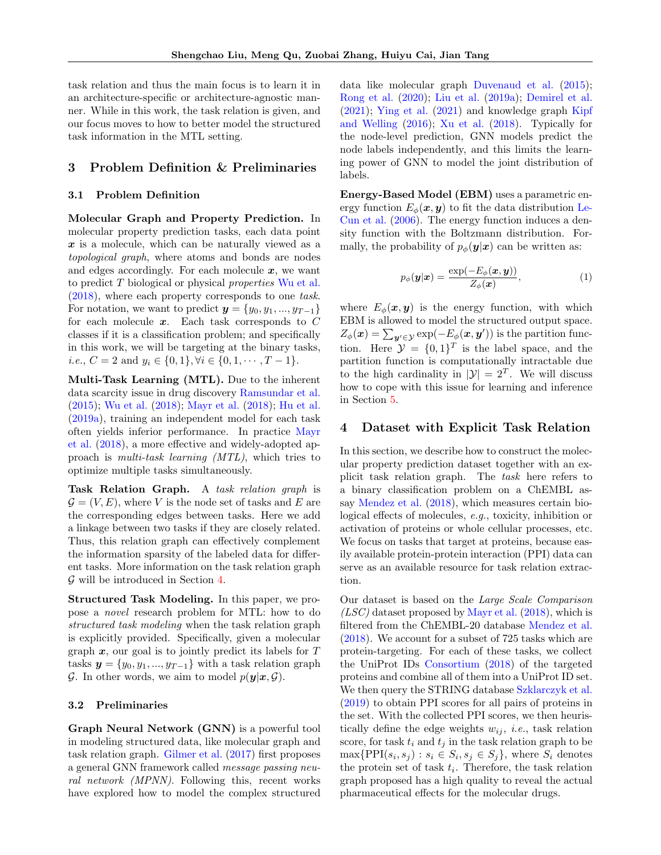task relation and thus the main focus is to learn it in an architecture-specific or architecture-agnostic manner. While in this work, the task relation is given, and our focus moves to how to better model the structured task information in the MTL setting.

# <span id="page-2-2"></span>3 Problem Definition & Preliminaries

# 3.1 Problem Definition

Molecular Graph and Property Prediction. In molecular property prediction tasks, each data point  $x$  is a molecule, which can be naturally viewed as a topological graph, where atoms and bonds are nodes and edges accordingly. For each molecule  $x$ , we want to predict T biological or physical properties [Wu et al.](#page-10-1) [\(2018\)](#page-10-1), where each property corresponds to one task. For notation, we want to predict  $y = \{y_0, y_1, ..., y_{T-1}\}\$ for each molecule  $x$ . Each task corresponds to  $C$ classes if it is a classification problem; and specifically in this work, we will be targeting at the binary tasks, *i.e.*,  $C = 2$  and  $y_i \in \{0, 1\}, \forall i \in \{0, 1, \dots, T - 1\}.$ 

Multi-Task Learning (MTL). Due to the inherent data scarcity issue in drug discovery [Ramsundar et al.](#page-9-0) [\(2015\)](#page-9-0); [Wu et al.](#page-10-1) [\(2018\)](#page-10-1); [Mayr et al.](#page-9-17) [\(2018\)](#page-9-17); [Hu et al.](#page-8-6) [\(2019a\)](#page-8-6), training an independent model for each task often yields inferior performance. In practice [Mayr](#page-9-17) [et al.](#page-9-17) [\(2018\)](#page-9-17), a more effective and widely-adopted approach is multi-task learning (MTL), which tries to optimize multiple tasks simultaneously.

Task Relation Graph. A task relation graph is  $\mathcal{G} = (V, E)$ , where V is the node set of tasks and E are the corresponding edges between tasks. Here we add a linkage between two tasks if they are closely related. Thus, this relation graph can effectively complement the information sparsity of the labeled data for different tasks. More information on the task relation graph  $\mathcal G$  will be introduced in Section [4.](#page-2-0)

Structured Task Modeling. In this paper, we propose a novel research problem for MTL: how to do structured task modeling when the task relation graph is explicitly provided. Specifically, given a molecular graph  $x$ , our goal is to jointly predict its labels for  $T$ tasks  $y = \{y_0, y_1, ..., y_{T-1}\}\$  with a task relation graph  $\mathcal{G}$ . In other words, we aim to model  $p(\mathbf{y}|\mathbf{x}, \mathcal{G})$ .

#### 3.2 Preliminaries

Graph Neural Network (GNN) is a powerful tool in modeling structured data, like molecular graph and task relation graph. [Gilmer et al.](#page-8-7) [\(2017\)](#page-8-7) first proposes a general GNN framework called message passing neural network (MPNN). Following this, recent works have explored how to model the complex structured data like molecular graph [Duvenaud et al.](#page-8-8) [\(2015\)](#page-8-8); [Rong et al.](#page-9-4) [\(2020\)](#page-9-4); [Liu et al.](#page-9-18) [\(2019a\)](#page-9-18); [Demirel et al.](#page-8-9) [\(2021\)](#page-8-9); [Ying et al.](#page-10-6) [\(2021\)](#page-10-6) and knowledge graph [Kipf](#page-9-6) [and Welling](#page-9-6) [\(2016\)](#page-9-6); [Xu et al.](#page-10-7) [\(2018\)](#page-10-7). Typically for the node-level prediction, GNN models predict the node labels independently, and this limits the learning power of GNN to model the joint distribution of labels.

Energy-Based Model (EBM) uses a parametric energy function  $E_{\phi}(\boldsymbol{x}, \boldsymbol{y})$  to fit the data distribution [Le-](#page-9-19)[Cun et al.](#page-9-19) [\(2006\)](#page-9-19). The energy function induces a density function with the Boltzmann distribution. Formally, the probability of  $p_{\phi}(\mathbf{y}|\mathbf{x})$  can be written as:

<span id="page-2-1"></span>
$$
p_{\phi}(\mathbf{y}|\mathbf{x}) = \frac{\exp(-E_{\phi}(\mathbf{x}, \mathbf{y}))}{Z_{\phi}(\mathbf{x})}, \qquad (1)
$$

where  $E_{\phi}(\boldsymbol{x}, \boldsymbol{y})$  is the energy function, with which EBM is allowed to model the structured output space.  $Z_{\phi}(\boldsymbol{x}) = \sum_{\boldsymbol{y}' \in \mathcal{Y}} \exp(-E_{\phi}(\boldsymbol{x}, \boldsymbol{y}'))$  is the partition function. Here  $\mathcal{Y} = \{0,1\}^T$  is the label space, and the partition function is computationally intractable due to the high cardinality in  $|\mathcal{Y}| = 2^T$ . We will discuss how to cope with this issue for learning and inference in Section [5.](#page-3-0)

## <span id="page-2-0"></span>4 Dataset with Explicit Task Relation

In this section, we describe how to construct the molecular property prediction dataset together with an explicit task relation graph. The task here refers to a binary classification problem on a ChEMBL assay [Mendez et al.](#page-9-12) [\(2018\)](#page-9-12), which measures certain biological effects of molecules, e.g., toxicity, inhibition or activation of proteins or whole cellular processes, etc. We focus on tasks that target at proteins, because easily available protein-protein interaction (PPI) data can serve as an available resource for task relation extraction.

Our dataset is based on the Large Scale Comparison  $(LSC)$  dataset proposed by [Mayr et al.](#page-9-17)  $(2018)$ , which is filtered from the ChEMBL-20 database [Mendez et al.](#page-9-12) [\(2018\)](#page-9-12). We account for a subset of 725 tasks which are protein-targeting. For each of these tasks, we collect the UniProt IDs [Consortium](#page-8-10) [\(2018\)](#page-8-10) of the targeted proteins and combine all of them into a UniProt ID set. We then query the STRING database [Szklarczyk et al.](#page-10-5) [\(2019\)](#page-10-5) to obtain PPI scores for all pairs of proteins in the set. With the collected PPI scores, we then heuristically define the edge weights  $w_{ij}$ , *i.e.*, task relation score, for task  $t_i$  and  $t_j$  in the task relation graph to be  $\max\{\text{PPI}(s_i, s_j) : s_i \in S_i, s_j \in S_j\}$ , where  $S_i$  denotes the protein set of task  $t_i$ . Therefore, the task relation graph proposed has a high quality to reveal the actual pharmaceutical effects for the molecular drugs.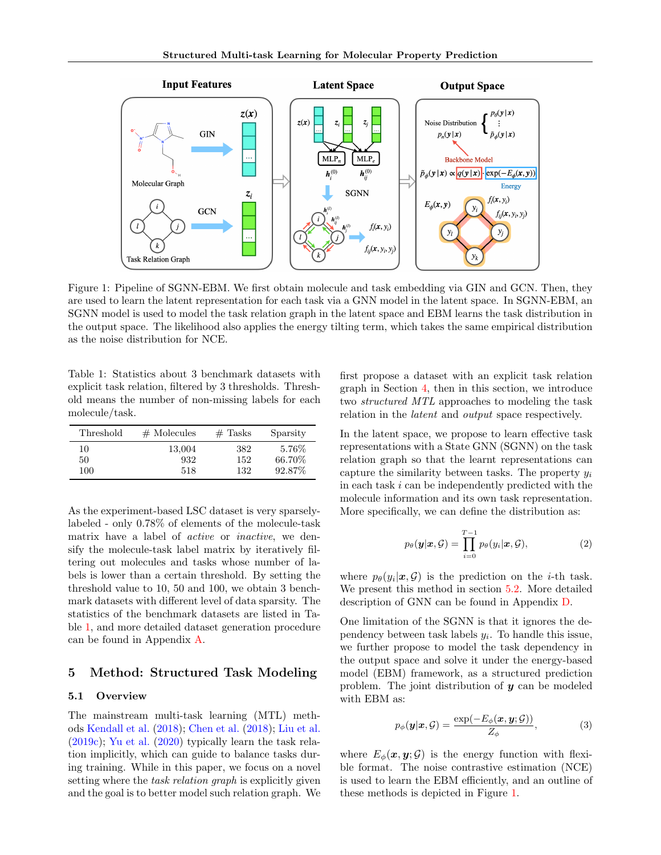<span id="page-3-2"></span>

Figure 1: Pipeline of SGNN-EBM. We first obtain molecule and task embedding via GIN and GCN. Then, they are used to learn the latent representation for each task via a GNN model in the latent space. In SGNN-EBM, an SGNN model is used to model the task relation graph in the latent space and EBM learns the task distribution in the output space. The likelihood also applies the energy tilting term, which takes the same empirical distribution as the noise distribution for NCE.

<span id="page-3-1"></span>Table 1: Statistics about 3 benchmark datasets with explicit task relation, filtered by 3 thresholds. Threshold means the number of non-missing labels for each molecule/task.

| Threshold | $#$ Molecules | $#$ Tasks | Sparsity |
|-----------|---------------|-----------|----------|
| 10        | 13,004        | 382       | 5.76\%   |
| 50        | 932           | 152       | 66.70%   |
| 100       | 518           | 132       | 92.87%   |

As the experiment-based LSC dataset is very sparselylabeled - only 0.78% of elements of the molecule-task matrix have a label of *active* or *inactive*, we densify the molecule-task label matrix by iteratively filtering out molecules and tasks whose number of labels is lower than a certain threshold. By setting the threshold value to 10, 50 and 100, we obtain 3 benchmark datasets with different level of data sparsity. The statistics of the benchmark datasets are listed in Table [1,](#page-3-1) and more detailed dataset generation procedure can be found in Appendix [A.](#page-11-0)

# <span id="page-3-0"></span>5 Method: Structured Task Modeling

# 5.1 Overview

The mainstream multi-task learning (MTL) methods [Kendall et al.](#page-9-13) [\(2018\)](#page-9-13); [Chen et al.](#page-8-5) [\(2018\)](#page-8-5); [Liu et al.](#page-9-3) [\(2019c\)](#page-9-3); [Yu et al.](#page-10-4) [\(2020\)](#page-10-4) typically learn the task relation implicitly, which can guide to balance tasks during training. While in this paper, we focus on a novel setting where the *task relation graph* is explicitly given and the goal is to better model such relation graph. We first propose a dataset with an explicit task relation graph in Section [4,](#page-2-0) then in this section, we introduce two structured MTL approaches to modeling the task relation in the latent and output space respectively.

In the latent space, we propose to learn effective task representations with a State GNN (SGNN) on the task relation graph so that the learnt representations can capture the similarity between tasks. The property  $y_i$ in each task  $i$  can be independently predicted with the molecule information and its own task representation. More specifically, we can define the distribution as:

<span id="page-3-3"></span>
$$
p_{\theta}(\mathbf{y}|\mathbf{x}, \mathcal{G}) = \prod_{i=0}^{T-1} p_{\theta}(y_i|\mathbf{x}, \mathcal{G}),
$$
\n(2)

where  $p_{\theta}(y_i|\boldsymbol{x}, \mathcal{G})$  is the prediction on the *i*-th task. We present this method in section [5.2.](#page-4-0) More detailed description of GNN can be found in Appendix [D.](#page-12-0)

One limitation of the SGNN is that it ignores the dependency between task labels  $y_i$ . To handle this issue, we further propose to model the task dependency in the output space and solve it under the energy-based model (EBM) framework, as a structured prediction problem. The joint distribution of  $y$  can be modeled with EBM as:

$$
p_{\phi}(\mathbf{y}|\mathbf{x}, \mathcal{G}) = \frac{\exp(-E_{\phi}(\mathbf{x}, \mathbf{y}; \mathcal{G}))}{Z_{\phi}}, \tag{3}
$$

where  $E_{\phi}(\boldsymbol{x}, \boldsymbol{y}; \mathcal{G})$  is the energy function with flexible format. The noise contrastive estimation (NCE) is used to learn the EBM efficiently, and an outline of these methods is depicted in Figure [1.](#page-3-2)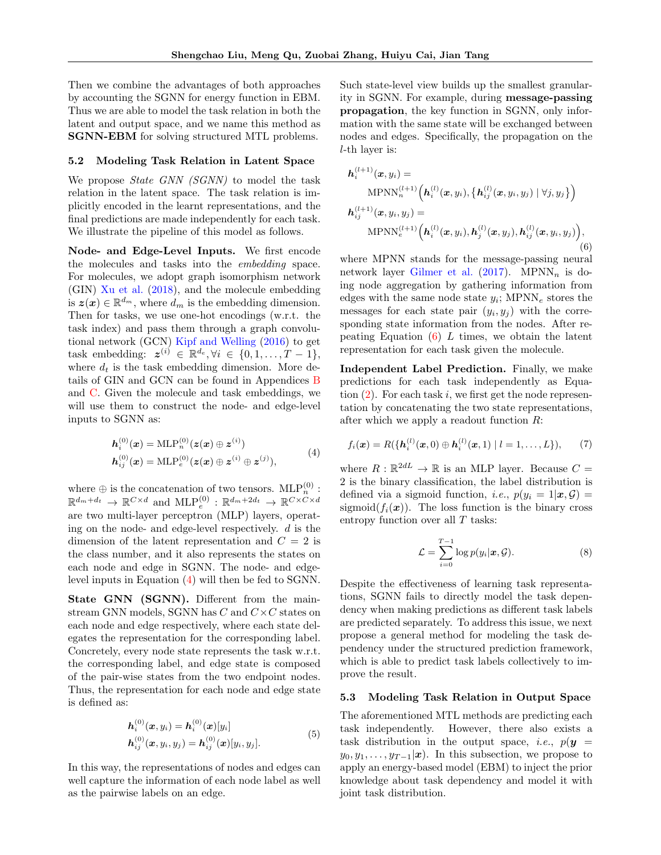Then we combine the advantages of both approaches by accounting the SGNN for energy function in EBM. Thus we are able to model the task relation in both the latent and output space, and we name this method as SGNN-EBM for solving structured MTL problems.

#### <span id="page-4-0"></span>5.2 Modeling Task Relation in Latent Space

We propose *State GNN (SGNN)* to model the task relation in the latent space. The task relation is implicitly encoded in the learnt representations, and the final predictions are made independently for each task. We illustrate the pipeline of this model as follows.

Node- and Edge-Level Inputs. We first encode the molecules and tasks into the embedding space. For molecules, we adopt graph isomorphism network (GIN) [Xu et al.](#page-10-7) [\(2018\)](#page-10-7), and the molecule embedding is  $z(x) \in \mathbb{R}^{d_m}$ , where  $\hat{d}_m$  is the embedding dimension. Then for tasks, we use one-hot encodings (w.r.t. the task index) and pass them through a graph convolutional network (GCN) [Kipf and Welling](#page-9-6) [\(2016\)](#page-9-6) to get task embedding:  $\mathbf{z}^{(i)} \in \mathbb{R}^{d_e}, \forall i \in \{0, 1, \ldots, T-1\},\$ where  $d_t$  is the task embedding dimension. More details of GIN and GCN can be found in Appendices [B](#page-12-1) and [C.](#page-12-2) Given the molecule and task embeddings, we will use them to construct the node- and edge-level inputs to SGNN as:

<span id="page-4-1"></span>
$$
h_i^{(0)}(x) = \text{MLP}_n^{(0)}(z(x) \oplus z^{(i)})
$$
  
\n
$$
h_{ij}^{(0)}(x) = \text{MLP}_e^{(0)}(z(x) \oplus z^{(i)} \oplus z^{(j)}),
$$
\n(4)

where  $\oplus$  is the concatenation of two tensors. MLP $_{n}^{(0)}$ : where  $\oplus$  is the concatenation of two tensors. While  $\hat{n}^{\prime}$ .<br>  $\mathbb{R}^{d_m+d_t} \to \mathbb{R}^{C \times d}$  and  $\text{MLP}_{e}^{(0)}$ :  $\mathbb{R}^{d_m+2d_t} \to \mathbb{R}^{C \times C \times d}$ are two multi-layer perceptron (MLP) layers, operating on the node- and edge-level respectively. d is the dimension of the latent representation and  $C = 2$  is the class number, and it also represents the states on each node and edge in SGNN. The node- and edgelevel inputs in Equation [\(4\)](#page-4-1) will then be fed to SGNN.

State GNN (SGNN). Different from the mainstream GNN models, SGNN has  $C$  and  $C \times C$  states on each node and edge respectively, where each state delegates the representation for the corresponding label. Concretely, every node state represents the task w.r.t. the corresponding label, and edge state is composed of the pair-wise states from the two endpoint nodes. Thus, the representation for each node and edge state is defined as:

$$
h_i^{(0)}(x, y_i) = h_i^{(0)}(x)[y_i] h_{ij}^{(0)}(x, y_i, y_j) = h_{ij}^{(0)}(x)[y_i, y_j].
$$
 (5)

In this way, the representations of nodes and edges can well capture the information of each node label as well as the pairwise labels on an edge.

Such state-level view builds up the smallest granularity in SGNN. For example, during message-passing propagation, the key function in SGNN, only information with the same state will be exchanged between nodes and edges. Specifically, the propagation on the l-th layer is:

<span id="page-4-2"></span>
$$
\boldsymbol{h}_{i}^{(l+1)}(\boldsymbol{x}, y_{i}) = \text{MPNN}_{n}^{(l+1)}\Big(\boldsymbol{h}_{i}^{(l)}(\boldsymbol{x}, y_{i}), \big\{\boldsymbol{h}_{ij}^{(l)}(\boldsymbol{x}, y_{i}, y_{j}) | \forall j, y_{j}\big\}\Big) \n\boldsymbol{h}_{ij}^{(l+1)}(\boldsymbol{x}, y_{i}, y_{j}) = \text{MPNN}_{e}^{(l+1)}\Big(\boldsymbol{h}_{i}^{(l)}(\boldsymbol{x}, y_{i}), \boldsymbol{h}_{j}^{(l)}(\boldsymbol{x}, y_{j}), \boldsymbol{h}_{ij}^{(l)}(\boldsymbol{x}, y_{i}, y_{j})\Big), \tag{6}
$$

where MPNN stands for the message-passing neural network layer [Gilmer et al.](#page-8-7)  $(2017)$ . MPNN<sub>n</sub> is doing node aggregation by gathering information from edges with the same node state  $y_i$ ; MPNN<sub>e</sub> stores the messages for each state pair  $(y_i, y_j)$  with the corresponding state information from the nodes. After repeating Equation  $(6)$  L times, we obtain the latent representation for each task given the molecule.

Independent Label Prediction. Finally, we make predictions for each task independently as Equation  $(2)$ . For each task i, we first get the node representation by concatenating the two state representations, after which we apply a readout function  $R$ :

$$
f_i(\boldsymbol{x}) = R(\{\boldsymbol{h}_i^{(l)}(\boldsymbol{x},0) \oplus \boldsymbol{h}_i^{(l)}(\boldsymbol{x},1) \mid l=1,\ldots,L\}),\qquad(7)
$$

where  $R : \mathbb{R}^{2dL} \to \mathbb{R}$  is an MLP layer. Because  $C =$ 2 is the binary classification, the label distribution is defined via a sigmoid function, *i.e.*,  $p(y_i = 1 | \boldsymbol{x}, \mathcal{G}) =$ sigmoid $(f_i(\boldsymbol{x}))$ . The loss function is the binary cross entropy function over all  $T$  tasks:

$$
\mathcal{L} = \sum_{i=0}^{T-1} \log p(y_i | \boldsymbol{x}, \mathcal{G}). \tag{8}
$$

Despite the effectiveness of learning task representations, SGNN fails to directly model the task dependency when making predictions as different task labels are predicted separately. To address this issue, we next propose a general method for modeling the task dependency under the structured prediction framework, which is able to predict task labels collectively to improve the result.

#### <span id="page-4-3"></span>5.3 Modeling Task Relation in Output Space

The aforementioned MTL methods are predicting each task independently. However, there also exists a task distribution in the output space, *i.e.*,  $p(\mathbf{y}) =$  $y_0, y_1, \ldots, y_{T-1}|\mathbf{x})$ . In this subsection, we propose to apply an energy-based model (EBM) to inject the prior knowledge about task dependency and model it with joint task distribution.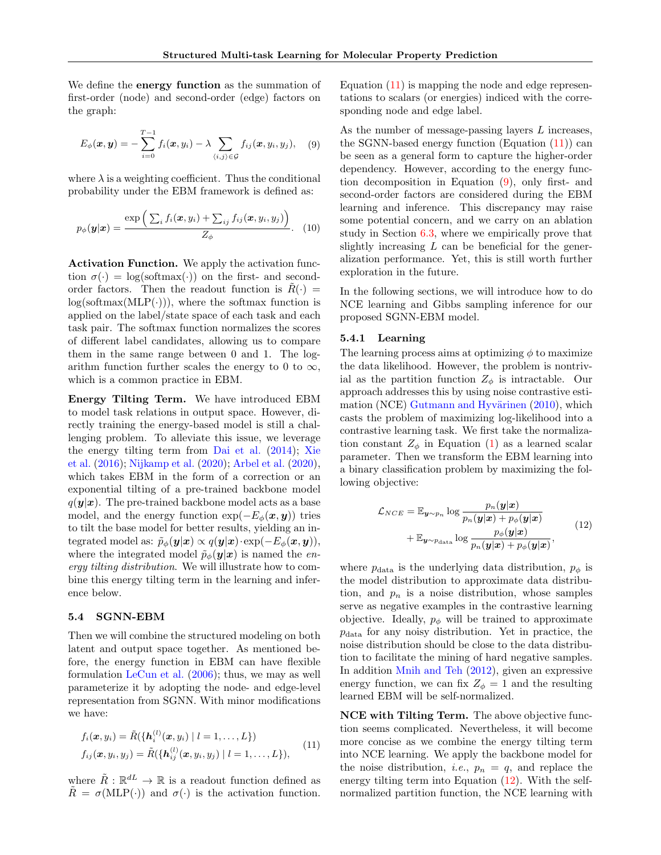We define the **energy function** as the summation of first-order (node) and second-order (edge) factors on the graph:

<span id="page-5-1"></span>
$$
E_{\phi}(\boldsymbol{x}, \boldsymbol{y}) = -\sum_{i=0}^{T-1} f_i(\boldsymbol{x}, y_i) - \lambda \sum_{\langle i, j \rangle \in \mathcal{G}} f_{ij}(\boldsymbol{x}, y_i, y_j), \quad (9)
$$

where  $\lambda$  is a weighting coefficient. Thus the conditional probability under the EBM framework is defined as:

$$
p_{\phi}(\boldsymbol{y}|\boldsymbol{x}) = \frac{\exp\left(\sum_{i} f_i(\boldsymbol{x}, y_i) + \sum_{ij} f_{ij}(\boldsymbol{x}, y_i, y_j)\right)}{Z_{\phi}}.\quad (10)
$$

Activation Function. We apply the activation function  $\sigma(\cdot) = \log(\text{softmax}(\cdot))$  on the first- and secondorder factors. Then the readout function is  $R(\cdot)$  =  $log(softmax(MLP(\cdot)))$ , where the softmax function is applied on the label/state space of each task and each task pair. The softmax function normalizes the scores of different label candidates, allowing us to compare them in the same range between 0 and 1. The logarithm function further scales the energy to 0 to  $\infty$ , which is a common practice in EBM.

Energy Tilting Term. We have introduced EBM to model task relations in output space. However, directly training the energy-based model is still a challenging problem. To alleviate this issue, we leverage the energy tilting term from [Dai et al.](#page-8-11) [\(2014\)](#page-8-11); [Xie](#page-10-8) [et al.](#page-10-8) [\(2016\)](#page-10-8); [Nijkamp et al.](#page-9-20) [\(2020\)](#page-9-20); [Arbel et al.](#page-8-12) [\(2020\)](#page-8-12), which takes EBM in the form of a correction or an exponential tilting of a pre-trained backbone model  $q(\mathbf{y}|\mathbf{x})$ . The pre-trained backbone model acts as a base model, and the energy function  $\exp(-E_{\phi}(\boldsymbol{x}, \boldsymbol{y}))$  tries to tilt the base model for better results, yielding an integrated model as:  $\tilde{p}_{\phi}(\mathbf{y}|\mathbf{x}) \propto q(\mathbf{y}|\mathbf{x}) \cdot \exp(-E_{\phi}(\mathbf{x}, \mathbf{y})),$ where the integrated model  $\tilde{p}_{\phi}(\mathbf{y}|\mathbf{x})$  is named the *en*ergy tilting distribution. We will illustrate how to combine this energy tilting term in the learning and inference below.

#### <span id="page-5-3"></span>5.4 SGNN-EBM

Then we will combine the structured modeling on both latent and output space together. As mentioned before, the energy function in EBM can have flexible formulation [LeCun et al.](#page-9-19) [\(2006\)](#page-9-19); thus, we may as well parameterize it by adopting the node- and edge-level representation from SGNN. With minor modifications we have:

<span id="page-5-0"></span>
$$
f_i(\boldsymbol{x}, y_i) = \tilde{R}(\{\boldsymbol{h}_i^{(l)}(\boldsymbol{x}, y_i) \mid l = 1, ..., L\})
$$
  

$$
f_{ij}(\boldsymbol{x}, y_i, y_j) = \tilde{R}(\{\boldsymbol{h}_{ij}^{(l)}(\boldsymbol{x}, y_i, y_j) \mid l = 1, ..., L\}),
$$
 (11)

where  $\tilde{R}: \mathbb{R}^{dL} \to \mathbb{R}$  is a readout function defined as  $\tilde{R} = \sigma(MLP(\cdot))$  and  $\sigma(\cdot)$  is the activation function. Equation  $(11)$  is mapping the node and edge representations to scalars (or energies) indiced with the corresponding node and edge label.

As the number of message-passing layers L increases, the SGNN-based energy function  $(Equation (11))$  $(Equation (11))$  $(Equation (11))$  can be seen as a general form to capture the higher-order dependency. However, according to the energy function decomposition in Equation [\(9\)](#page-5-1), only first- and second-order factors are considered during the EBM learning and inference. This discrepancy may raise some potential concern, and we carry on an ablation study in Section [6.3,](#page-7-0) where we empirically prove that slightly increasing  $L$  can be beneficial for the generalization performance. Yet, this is still worth further exploration in the future.

In the following sections, we will introduce how to do NCE learning and Gibbs sampling inference for our proposed SGNN-EBM model.

# 5.4.1 Learning

The learning process aims at optimizing  $\phi$  to maximize the data likelihood. However, the problem is nontrivial as the partition function  $Z_{\phi}$  is intractable. Our approach addresses this by using noise contrastive estimation (NCE) Gutmann and Hyvärinen  $(2010)$ , which casts the problem of maximizing log-likelihood into a contrastive learning task. We first take the normalization constant  $Z_{\phi}$  in Equation [\(1\)](#page-2-1) as a learned scalar parameter. Then we transform the EBM learning into a binary classification problem by maximizing the following objective:

<span id="page-5-2"></span>
$$
\mathcal{L}_{NCE} = \mathbb{E}_{\mathbf{y} \sim p_n} \log \frac{p_n(\mathbf{y}|\mathbf{x})}{p_n(\mathbf{y}|\mathbf{x}) + p_\phi(\mathbf{y}|\mathbf{x})} + \mathbb{E}_{\mathbf{y} \sim p_{\text{data}}} \log \frac{p_\phi(\mathbf{y}|\mathbf{x})}{p_n(\mathbf{y}|\mathbf{x}) + p_\phi(\mathbf{y}|\mathbf{x})},
$$
\n(12)

where  $p_{data}$  is the underlying data distribution,  $p_{\phi}$  is the model distribution to approximate data distribution, and  $p_n$  is a noise distribution, whose samples serve as negative examples in the contrastive learning objective. Ideally,  $p_{\phi}$  will be trained to approximate  $p_{data}$  for any noisy distribution. Yet in practice, the noise distribution should be close to the data distribution to facilitate the mining of hard negative samples. In addition [Mnih and Teh](#page-9-21) [\(2012\)](#page-9-21), given an expressive energy function, we can fix  $Z_{\phi} = 1$  and the resulting learned EBM will be self-normalized.

NCE with Tilting Term. The above objective function seems complicated. Nevertheless, it will become more concise as we combine the energy tilting term into NCE learning. We apply the backbone model for the noise distribution, *i.e.*,  $p_n = q$ , and replace the energy tilting term into Equation [\(12\)](#page-5-2). With the selfnormalized partition function, the NCE learning with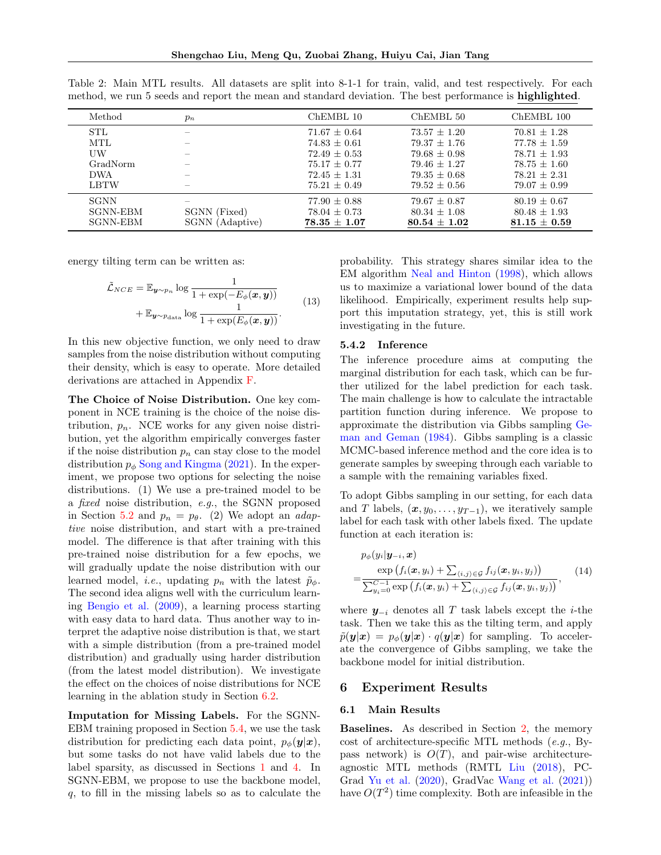Shengchao Liu, Meng Qu, Zuobai Zhang, Huiyu Cai, Jian Tang

| Method          | $p_n$           | $ChEMBL$ 10      | ChEMBL 50        | ChEMBL 100       |
|-----------------|-----------------|------------------|------------------|------------------|
| <b>STL</b>      |                 | $71.67 \pm 0.64$ | $73.57 + 1.20$   | $70.81 + 1.28$   |
| MTL             |                 | $74.83 + 0.61$   | $79.37 + 1.76$   | $77.78 + 1.59$   |
| UW              |                 | $72.49 + 0.53$   | $79.68 \pm 0.98$ | $78.71 + 1.93$   |
| GradNorm        |                 | $75.17 + 0.77$   | $79.46 + 1.27$   | $78.75 \pm 1.60$ |
| <b>DWA</b>      |                 | $72.45 + 1.31$   | $79.35 + 0.68$   | $78.21 \pm 2.31$ |
| <b>LBTW</b>     |                 | $75.21 + 0.49$   | $79.52 + 0.56$   | $79.07 + 0.99$   |
| <b>SGNN</b>     |                 | $77.90 \pm 0.88$ | $79.67 \pm 0.87$ | $80.19 + 0.67$   |
| SGNN-EBM        | SGNN (Fixed)    | $78.04 \pm 0.73$ | $80.34 \pm 1.08$ | $80.48 \pm 1.93$ |
| <b>SGNN-EBM</b> | SGNN (Adaptive) | $78.35 \pm 1.07$ | $80.54 \pm 1.02$ | $81.15 \pm 0.59$ |
|                 |                 |                  |                  |                  |

<span id="page-6-0"></span>Table 2: Main MTL results. All datasets are split into 8-1-1 for train, valid, and test respectively. For each method, we run 5 seeds and report the mean and standard deviation. The best performance is **highlighted**.

energy tilting term can be written as:

$$
\tilde{\mathcal{L}}_{NCE} = \mathbb{E}_{\boldsymbol{y} \sim p_n} \log \frac{1}{1 + \exp(-E_{\phi}(\boldsymbol{x}, \boldsymbol{y}))} + \mathbb{E}_{\boldsymbol{y} \sim p_{\text{data}}} \log \frac{1}{1 + \exp(E_{\phi}(\boldsymbol{x}, \boldsymbol{y}))}.
$$
\n(13)

In this new objective function, we only need to draw samples from the noise distribution without computing their density, which is easy to operate. More detailed derivations are attached in Appendix [F.](#page-14-0)

The Choice of Noise Distribution. One key component in NCE training is the choice of the noise distribution,  $p_n$ . NCE works for any given noise distribution, yet the algorithm empirically converges faster if the noise distribution  $p_n$  can stay close to the model distribution  $p_{\phi}$  [Song and Kingma](#page-10-9) [\(2021\)](#page-10-9). In the experiment, we propose two options for selecting the noise distributions. (1) We use a pre-trained model to be a fixed noise distribution, e.g., the SGNN proposed in Section [5.2](#page-4-0) and  $p_n = p_\theta$ . (2) We adopt an *adap*tive noise distribution, and start with a pre-trained model. The difference is that after training with this pre-trained noise distribution for a few epochs, we will gradually update the noise distribution with our learned model, *i.e.*, updating  $p_n$  with the latest  $\tilde{p}_{\phi}$ . The second idea aligns well with the curriculum learning [Bengio et al.](#page-8-13) [\(2009\)](#page-8-13), a learning process starting with easy data to hard data. Thus another way to interpret the adaptive noise distribution is that, we start with a simple distribution (from a pre-trained model distribution) and gradually using harder distribution (from the latest model distribution). We investigate the effect on the choices of noise distributions for NCE learning in the ablation study in Section [6.2.](#page-7-1)

Imputation for Missing Labels. For the SGNN-EBM training proposed in Section [5.4,](#page-5-3) we use the task distribution for predicting each data point,  $p_{\phi}(\mathbf{y}|\mathbf{x}),$ but some tasks do not have valid labels due to the label sparsity, as discussed in Sections [1](#page-0-0) and [4.](#page-2-0) In SGNN-EBM, we propose to use the backbone model, q, to fill in the missing labels so as to calculate the

probability. This strategy shares similar idea to the EM algorithm [Neal and Hinton](#page-9-22) [\(1998\)](#page-9-22), which allows us to maximize a variational lower bound of the data likelihood. Empirically, experiment results help support this imputation strategy, yet, this is still work investigating in the future.

#### 5.4.2 Inference

The inference procedure aims at computing the marginal distribution for each task, which can be further utilized for the label prediction for each task. The main challenge is how to calculate the intractable partition function during inference. We propose to approximate the distribution via Gibbs sampling [Ge](#page-8-14)[man and Geman](#page-8-14) [\(1984\)](#page-8-14). Gibbs sampling is a classic MCMC-based inference method and the core idea is to generate samples by sweeping through each variable to a sample with the remaining variables fixed.

To adopt Gibbs sampling in our setting, for each data and T labels,  $(x, y_0, \ldots, y_{T-1})$ , we iteratively sample label for each task with other labels fixed. The update function at each iteration is:

$$
p_{\phi}(y_i|\mathbf{y}_{-i}, \mathbf{x}) = \frac{\exp(f_i(\mathbf{x}, y_i) + \sum_{\langle i,j \rangle \in \mathcal{G}} f_{ij}(\mathbf{x}, y_i, y_j))}{\sum_{y_i=0}^{C-1} \exp(f_i(\mathbf{x}, y_i) + \sum_{\langle i,j \rangle \in \mathcal{G}} f_{ij}(\mathbf{x}, y_i, y_j))},
$$
(14)

where  $y_{-i}$  denotes all T task labels except the *i*-the task. Then we take this as the tilting term, and apply  $\tilde{p}(\mathbf{y}|\mathbf{x}) = p_{\phi}(\mathbf{y}|\mathbf{x}) \cdot q(\mathbf{y}|\mathbf{x})$  for sampling. To accelerate the convergence of Gibbs sampling, we take the backbone model for initial distribution.

### 6 Experiment Results

#### 6.1 Main Results

Baselines. As described in Section [2,](#page-1-0) the memory cost of architecture-specific MTL methods (e.g., Bypass network) is  $O(T)$ , and pair-wise architectureagnostic MTL methods (RMTL [Liu](#page-9-11) [\(2018\)](#page-9-11), PC-Grad [Yu et al.](#page-10-4) [\(2020\)](#page-10-4), GradVac [Wang et al.](#page-10-2) [\(2021\)](#page-10-2)) have  $O(T^2)$  time complexity. Both are infeasible in the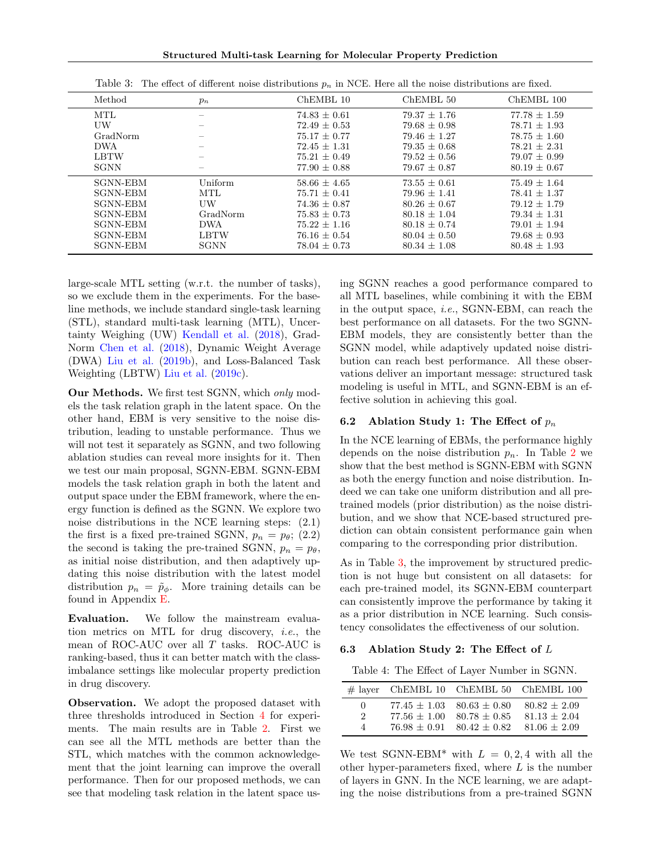Structured Multi-task Learning for Molecular Property Prediction

<span id="page-7-2"></span>

| Method          | $p_n$       | ChEMBL 10        | ChEMBL 50        | ChEMBL 100       |
|-----------------|-------------|------------------|------------------|------------------|
| MTL             |             | $74.83 \pm 0.61$ | $79.37 + 1.76$   | $77.78 \pm 1.59$ |
| UW              |             | $72.49 \pm 0.53$ | $79.68 + 0.98$   | $78.71 + 1.93$   |
| GradNorm        |             | $75.17 + 0.77$   | $79.46 + 1.27$   | $78.75 + 1.60$   |
| <b>DWA</b>      |             | $72.45 + 1.31$   | $79.35 + 0.68$   | $78.21 \pm 2.31$ |
| <b>LBTW</b>     |             | $75.21 + 0.49$   | $79.52 + 0.56$   | $79.07 \pm 0.99$ |
| <b>SGNN</b>     |             | $77.90 \pm 0.88$ | $79.67 \pm 0.87$ | $80.19 \pm 0.67$ |
| <b>SGNN-EBM</b> | Uniform     | $58.66 + 4.65$   | $73.55 + 0.61$   | $75.49 + 1.64$   |
| <b>SGNN-EBM</b> | MTL         | $75.71 + 0.41$   | $79.96 + 1.41$   | $78.41 + 1.37$   |
| <b>SGNN-EBM</b> | UW          | $74.36 \pm 0.87$ | $80.26 \pm 0.67$ | $79.12 + 1.79$   |
| <b>SGNN-EBM</b> | GradNorm    | $75.83 \pm 0.73$ | $80.18 \pm 1.04$ | $79.34 \pm 1.31$ |
| <b>SGNN-EBM</b> | <b>DWA</b>  | $75.22 + 1.16$   | $80.18 + 0.74$   | $79.01 + 1.94$   |
| <b>SGNN-EBM</b> | <b>LBTW</b> | $76.16 \pm 0.54$ | $80.04 + 0.50$   | $79.68 \pm 0.93$ |
| <b>SGNN-EBM</b> | <b>SGNN</b> | $78.04 \pm 0.73$ | $80.34 \pm 1.08$ | $80.48 \pm 1.93$ |

Table 3: The effect of different noise distributions  $p_n$  in NCE. Here all the noise distributions are fixed.

large-scale MTL setting (w.r.t. the number of tasks), so we exclude them in the experiments. For the baseline methods, we include standard single-task learning (STL), standard multi-task learning (MTL), Uncertainty Weighing (UW) [Kendall et al.](#page-9-13) [\(2018\)](#page-9-13), Grad-Norm [Chen et al.](#page-8-5) [\(2018\)](#page-8-5), Dynamic Weight Average (DWA) [Liu et al.](#page-9-14) [\(2019b\)](#page-9-14), and Loss-Balanced Task Weighting (LBTW) [Liu et al.](#page-9-3) [\(2019c\)](#page-9-3).

Our Methods. We first test SGNN, which only models the task relation graph in the latent space. On the other hand, EBM is very sensitive to the noise distribution, leading to unstable performance. Thus we will not test it separately as SGNN, and two following ablation studies can reveal more insights for it. Then we test our main proposal, SGNN-EBM. SGNN-EBM models the task relation graph in both the latent and output space under the EBM framework, where the energy function is defined as the SGNN. We explore two noise distributions in the NCE learning steps: (2.1) the first is a fixed pre-trained SGNN,  $p_n = p_\theta$ ; (2.2) the second is taking the pre-trained SGNN,  $p_n = p_\theta$ , as initial noise distribution, and then adaptively updating this noise distribution with the latest model distribution  $p_n = \tilde{p}_{\phi}$ . More training details can be found in Appendix [E.](#page-13-0)

Evaluation. We follow the mainstream evaluation metrics on MTL for drug discovery, i.e., the mean of ROC-AUC over all  $T$  tasks. ROC-AUC is ranking-based, thus it can better match with the classimbalance settings like molecular property prediction in drug discovery.

Observation. We adopt the proposed dataset with three thresholds introduced in Section [4](#page-2-0) for experiments. The main results are in Table [2.](#page-6-0) First we can see all the MTL methods are better than the STL, which matches with the common acknowledgement that the joint learning can improve the overall performance. Then for our proposed methods, we can see that modeling task relation in the latent space using SGNN reaches a good performance compared to all MTL baselines, while combining it with the EBM in the output space, i.e., SGNN-EBM, can reach the best performance on all datasets. For the two SGNN-EBM models, they are consistently better than the SGNN model, while adaptively updated noise distribution can reach best performance. All these observations deliver an important message: structured task modeling is useful in MTL, and SGNN-EBM is an effective solution in achieving this goal.

### <span id="page-7-1"></span>6.2 Ablation Study 1: The Effect of  $p_n$

In the NCE learning of EBMs, the performance highly depends on the noise distribution  $p_n$ . In Table [2](#page-6-0) we show that the best method is SGNN-EBM with SGNN as both the energy function and noise distribution. Indeed we can take one uniform distribution and all pretrained models (prior distribution) as the noise distribution, and we show that NCE-based structured prediction can obtain consistent performance gain when comparing to the corresponding prior distribution.

As in Table [3,](#page-7-2) the improvement by structured prediction is not huge but consistent on all datasets: for each pre-trained model, its SGNN-EBM counterpart can consistently improve the performance by taking it as a prior distribution in NCE learning. Such consistency consolidates the effectiveness of our solution.

#### <span id="page-7-3"></span><span id="page-7-0"></span>6.3 Ablation Study 2: The Effect of L

Table 4: The Effect of Layer Number in SGNN.

|              |                |                               | $\#$ layer ChEMBL 10 ChEMBL 50 ChEMBL 100 |
|--------------|----------------|-------------------------------|-------------------------------------------|
| $\mathbf{U}$ |                | $77.45 + 1.03$ $80.63 + 0.80$ | $80.82 + 2.09$                            |
| $2^{\circ}$  | $77.56 + 1.00$ | $80.78 + 0.85$                | $81.13 + 2.04$                            |
| 4            | $76.98 + 0.91$ | $80.42 + 0.82$                | $81.06 \pm 2.09$                          |

We test SGNN-EBM\* with  $L = 0, 2, 4$  with all the other hyper-parameters fixed, where  $L$  is the number of layers in GNN. In the NCE learning, we are adapting the noise distributions from a pre-trained SGNN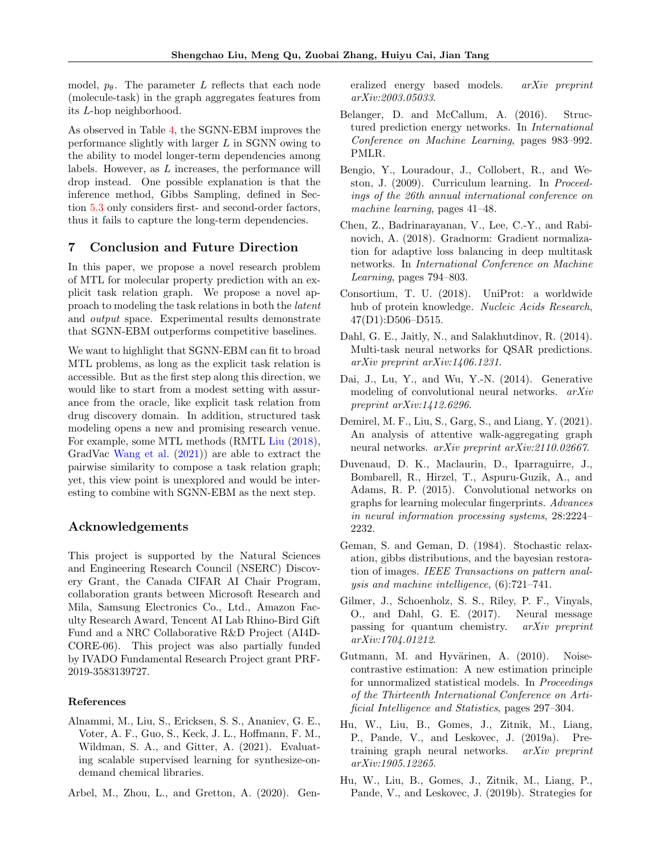model,  $p_{\theta}$ . The parameter L reflects that each node (molecule-task) in the graph aggregates features from its L-hop neighborhood.

As observed in Table [4,](#page-7-3) the SGNN-EBM improves the performance slightly with larger  $L$  in SGNN owing to the ability to model longer-term dependencies among labels. However, as  $L$  increases, the performance will drop instead. One possible explanation is that the inference method, Gibbs Sampling, defined in Section [5.3](#page-4-3) only considers first- and second-order factors, thus it fails to capture the long-term dependencies.

# 7 Conclusion and Future Direction

In this paper, we propose a novel research problem of MTL for molecular property prediction with an explicit task relation graph. We propose a novel approach to modeling the task relations in both the latent and output space. Experimental results demonstrate that SGNN-EBM outperforms competitive baselines.

We want to highlight that SGNN-EBM can fit to broad MTL problems, as long as the explicit task relation is accessible. But as the first step along this direction, we would like to start from a modest setting with assurance from the oracle, like explicit task relation from drug discovery domain. In addition, structured task modeling opens a new and promising research venue. For example, some MTL methods (RMTL [Liu](#page-9-11) [\(2018\)](#page-9-11), GradVac [Wang et al.](#page-10-2) [\(2021\)](#page-10-2)) are able to extract the pairwise similarity to compose a task relation graph; yet, this view point is unexplored and would be interesting to combine with SGNN-EBM as the next step.

# Acknowledgements

This project is supported by the Natural Sciences and Engineering Research Council (NSERC) Discovery Grant, the Canada CIFAR AI Chair Program, collaboration grants between Microsoft Research and Mila, Samsung Electronics Co., Ltd., Amazon Faculty Research Award, Tencent AI Lab Rhino-Bird Gift Fund and a NRC Collaborative R&D Project (AI4D-CORE-06). This project was also partially funded by IVADO Fundamental Research Project grant PRF-2019-3583139727.

### References

- <span id="page-8-2"></span>Alnammi, M., Liu, S., Ericksen, S. S., Ananiev, G. E., Voter, A. F., Guo, S., Keck, J. L., Hoffmann, F. M., Wildman, S. A., and Gitter, A. (2021). Evaluating scalable supervised learning for synthesize-ondemand chemical libraries.
- <span id="page-8-12"></span>Arbel, M., Zhou, L., and Gretton, A. (2020). Gen-

eralized energy based models. arXiv preprint arXiv:2003.05033.

- <span id="page-8-3"></span>Belanger, D. and McCallum, A. (2016). Structured prediction energy networks. In International Conference on Machine Learning, pages 983–992. PMLR.
- <span id="page-8-13"></span>Bengio, Y., Louradour, J., Collobert, R., and Weston, J. (2009). Curriculum learning. In Proceedings of the 26th annual international conference on machine learning, pages 41–48.
- <span id="page-8-5"></span>Chen, Z., Badrinarayanan, V., Lee, C.-Y., and Rabinovich, A. (2018). Gradnorm: Gradient normalization for adaptive loss balancing in deep multitask networks. In International Conference on Machine Learning, pages 794–803.
- <span id="page-8-10"></span>Consortium, T. U. (2018). UniProt: a worldwide hub of protein knowledge. Nucleic Acids Research, 47(D1):D506–D515.
- <span id="page-8-0"></span>Dahl, G. E., Jaitly, N., and Salakhutdinov, R. (2014). Multi-task neural networks for QSAR predictions. arXiv preprint arXiv:1406.1231.
- <span id="page-8-11"></span>Dai, J., Lu, Y., and Wu, Y.-N. (2014). Generative modeling of convolutional neural networks. arXiv preprint arXiv:1412.6296.
- <span id="page-8-9"></span>Demirel, M. F., Liu, S., Garg, S., and Liang, Y. (2021). An analysis of attentive walk-aggregating graph neural networks. arXiv preprint arXiv:2110.02667.
- <span id="page-8-8"></span>Duvenaud, D. K., Maclaurin, D., Iparraguirre, J., Bombarell, R., Hirzel, T., Aspuru-Guzik, A., and Adams, R. P. (2015). Convolutional networks on graphs for learning molecular fingerprints. Advances in neural information processing systems, 28:2224– 2232.
- <span id="page-8-14"></span>Geman, S. and Geman, D. (1984). Stochastic relaxation, gibbs distributions, and the bayesian restoration of images. IEEE Transactions on pattern analysis and machine intelligence, (6):721–741.
- <span id="page-8-7"></span>Gilmer, J., Schoenholz, S. S., Riley, P. F., Vinyals, O., and Dahl, G. E. (2017). Neural message passing for quantum chemistry. arXiv preprint arXiv:1704.01212.
- <span id="page-8-4"></span>Gutmann, M. and Hyvärinen, A. (2010). Noisecontrastive estimation: A new estimation principle for unnormalized statistical models. In Proceedings of the Thirteenth International Conference on Artificial Intelligence and Statistics, pages 297–304.
- <span id="page-8-6"></span>Hu, W., Liu, B., Gomes, J., Zitnik, M., Liang, P., Pande, V., and Leskovec, J. (2019a). Pretraining graph neural networks. arXiv preprint arXiv:1905.12265.
- <span id="page-8-1"></span>Hu, W., Liu, B., Gomes, J., Zitnik, M., Liang, P., Pande, V., and Leskovec, J. (2019b). Strategies for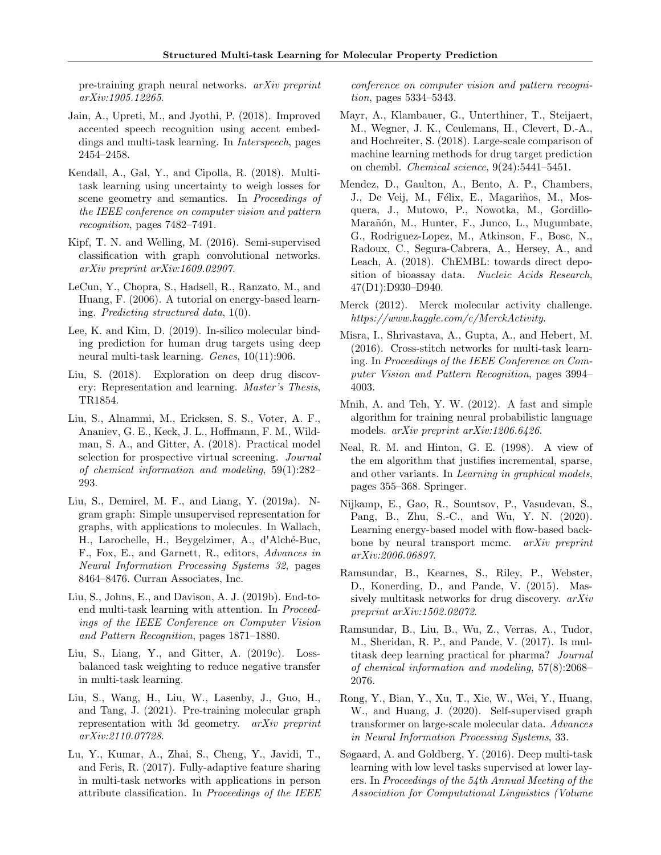pre-training graph neural networks. arXiv preprint arXiv:1905.12265.

- <span id="page-9-10"></span>Jain, A., Upreti, M., and Jyothi, P. (2018). Improved accented speech recognition using accent embeddings and multi-task learning. In Interspeech, pages 2454–2458.
- <span id="page-9-13"></span>Kendall, A., Gal, Y., and Cipolla, R. (2018). Multitask learning using uncertainty to weigh losses for scene geometry and semantics. In Proceedings of the IEEE conference on computer vision and pattern recognition, pages 7482–7491.
- <span id="page-9-6"></span>Kipf, T. N. and Welling, M. (2016). Semi-supervised classification with graph convolutional networks. arXiv preprint arXiv:1609.02907.
- <span id="page-9-19"></span>LeCun, Y., Chopra, S., Hadsell, R., Ranzato, M., and Huang, F. (2006). A tutorial on energy-based learning. Predicting structured data, 1(0).
- <span id="page-9-16"></span>Lee, K. and Kim, D. (2019). In-silico molecular binding prediction for human drug targets using deep neural multi-task learning. Genes, 10(11):906.
- <span id="page-9-11"></span>Liu, S. (2018). Exploration on deep drug discovery: Representation and learning. Master's Thesis, TR1854.
- <span id="page-9-2"></span>Liu, S., Alnammi, M., Ericksen, S. S., Voter, A. F., Ananiev, G. E., Keck, J. L., Hoffmann, F. M., Wildman, S. A., and Gitter, A. (2018). Practical model selection for prospective virtual screening. Journal of chemical information and modeling, 59(1):282– 293.
- <span id="page-9-18"></span>Liu, S., Demirel, M. F., and Liang, Y. (2019a). Ngram graph: Simple unsupervised representation for graphs, with applications to molecules. In Wallach, H., Larochelle, H., Beygelzimer, A., d'Alché-Buc, F., Fox, E., and Garnett, R., editors, Advances in Neural Information Processing Systems 32, pages 8464–8476. Curran Associates, Inc.
- <span id="page-9-14"></span>Liu, S., Johns, E., and Davison, A. J. (2019b). End-toend multi-task learning with attention. In Proceedings of the IEEE Conference on Computer Vision and Pattern Recognition, pages 1871–1880.
- <span id="page-9-3"></span>Liu, S., Liang, Y., and Gitter, A. (2019c). Lossbalanced task weighting to reduce negative transfer in multi-task learning.
- <span id="page-9-5"></span>Liu, S., Wang, H., Liu, W., Lasenby, J., Guo, H., and Tang, J. (2021). Pre-training molecular graph representation with 3d geometry. arXiv preprint arXiv:2110.07728.
- <span id="page-9-9"></span>Lu, Y., Kumar, A., Zhai, S., Cheng, Y., Javidi, T., and Feris, R. (2017). Fully-adaptive feature sharing in multi-task networks with applications in person attribute classification. In Proceedings of the IEEE

conference on computer vision and pattern recognition, pages 5334–5343.

- <span id="page-9-17"></span>Mayr, A., Klambauer, G., Unterthiner, T., Steijaert, M., Wegner, J. K., Ceulemans, H., Clevert, D.-A., and Hochreiter, S. (2018). Large-scale comparison of machine learning methods for drug target prediction on chembl. Chemical science, 9(24):5441–5451.
- <span id="page-9-12"></span>Mendez, D., Gaulton, A., Bento, A. P., Chambers, J., De Veij, M., Félix, E., Magariños, M., Mosquera, J., Mutowo, P., Nowotka, M., Gordillo-Marañón, M., Hunter, F., Junco, L., Mugumbate, G., Rodriguez-Lopez, M., Atkinson, F., Bosc, N., Radoux, C., Segura-Cabrera, A., Hersey, A., and Leach, A. (2018). ChEMBL: towards direct deposition of bioassay data. Nucleic Acids Research, 47(D1):D930–D940.
- <span id="page-9-15"></span>Merck (2012). Merck molecular activity challenge. https://www.kaggle.com/c/MerckActivity.
- <span id="page-9-8"></span>Misra, I., Shrivastava, A., Gupta, A., and Hebert, M. (2016). Cross-stitch networks for multi-task learning. In Proceedings of the IEEE Conference on Computer Vision and Pattern Recognition, pages 3994– 4003.
- <span id="page-9-21"></span>Mnih, A. and Teh, Y. W. (2012). A fast and simple algorithm for training neural probabilistic language models. arXiv preprint arXiv:1206.6426.
- <span id="page-9-22"></span>Neal, R. M. and Hinton, G. E. (1998). A view of the em algorithm that justifies incremental, sparse, and other variants. In Learning in graphical models, pages 355–368. Springer.
- <span id="page-9-20"></span>Nijkamp, E., Gao, R., Sountsov, P., Vasudevan, S., Pang, B., Zhu, S.-C., and Wu, Y. N. (2020). Learning energy-based model with flow-based backbone by neural transport mcmc. *arXiv preprint* arXiv:2006.06897.
- <span id="page-9-0"></span>Ramsundar, B., Kearnes, S., Riley, P., Webster, D., Konerding, D., and Pande, V. (2015). Massively multitask networks for drug discovery. arXiv preprint arXiv:1502.02072.
- <span id="page-9-1"></span>Ramsundar, B., Liu, B., Wu, Z., Verras, A., Tudor, M., Sheridan, R. P., and Pande, V. (2017). Is multitask deep learning practical for pharma? Journal of chemical information and modeling, 57(8):2068– 2076.
- <span id="page-9-4"></span>Rong, Y., Bian, Y., Xu, T., Xie, W., Wei, Y., Huang, W., and Huang, J. (2020). Self-supervised graph transformer on large-scale molecular data. Advances in Neural Information Processing Systems, 33.
- <span id="page-9-7"></span>Søgaard, A. and Goldberg, Y. (2016). Deep multi-task learning with low level tasks supervised at lower layers. In Proceedings of the 54th Annual Meeting of the Association for Computational Linguistics (Volume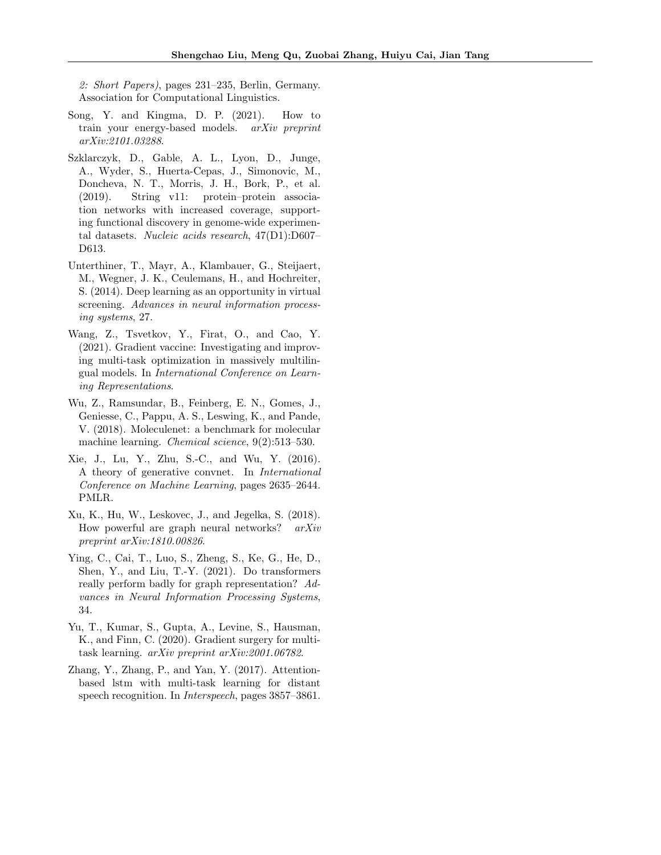2: Short Papers), pages 231–235, Berlin, Germany. Association for Computational Linguistics.

- <span id="page-10-9"></span>Song, Y. and Kingma, D. P. (2021). How to train your energy-based models. arXiv preprint arXiv:2101.03288.
- <span id="page-10-5"></span>Szklarczyk, D., Gable, A. L., Lyon, D., Junge, A., Wyder, S., Huerta-Cepas, J., Simonovic, M., Doncheva, N. T., Morris, J. H., Bork, P., et al. (2019). String v11: protein–protein association networks with increased coverage, supporting functional discovery in genome-wide experimental datasets. Nucleic acids research, 47(D1):D607– D613.
- <span id="page-10-0"></span>Unterthiner, T., Mayr, A., Klambauer, G., Steijaert, M., Wegner, J. K., Ceulemans, H., and Hochreiter, S. (2014). Deep learning as an opportunity in virtual screening. Advances in neural information processing systems, 27.
- <span id="page-10-2"></span>Wang, Z., Tsvetkov, Y., Firat, O., and Cao, Y. (2021). Gradient vaccine: Investigating and improving multi-task optimization in massively multilingual models. In International Conference on Learning Representations.
- <span id="page-10-1"></span>Wu, Z., Ramsundar, B., Feinberg, E. N., Gomes, J., Geniesse, C., Pappu, A. S., Leswing, K., and Pande, V. (2018). Moleculenet: a benchmark for molecular machine learning. Chemical science, 9(2):513–530.
- <span id="page-10-8"></span>Xie, J., Lu, Y., Zhu, S.-C., and Wu, Y. (2016). A theory of generative convnet. In International Conference on Machine Learning, pages 2635–2644. PMLR.
- <span id="page-10-7"></span>Xu, K., Hu, W., Leskovec, J., and Jegelka, S. (2018). How powerful are graph neural networks? arXiv preprint arXiv:1810.00826.
- <span id="page-10-6"></span>Ying, C., Cai, T., Luo, S., Zheng, S., Ke, G., He, D., Shen, Y., and Liu, T.-Y. (2021). Do transformers really perform badly for graph representation? Advances in Neural Information Processing Systems, 34.
- <span id="page-10-4"></span>Yu, T., Kumar, S., Gupta, A., Levine, S., Hausman, K., and Finn, C. (2020). Gradient surgery for multitask learning. arXiv preprint arXiv:2001.06782.
- <span id="page-10-3"></span>Zhang, Y., Zhang, P., and Yan, Y. (2017). Attentionbased lstm with multi-task learning for distant speech recognition. In Interspeech, pages 3857–3861.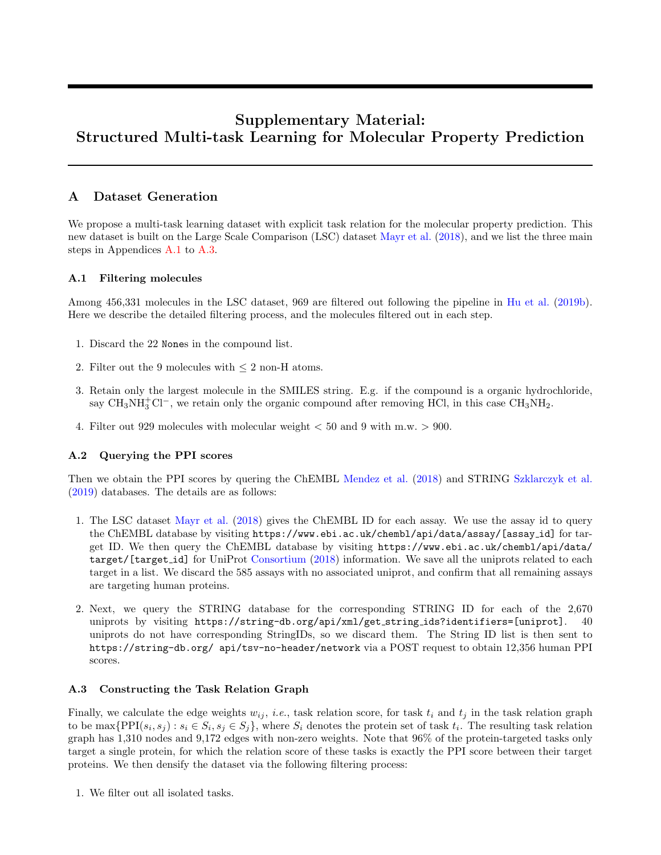# Supplementary Material: Structured Multi-task Learning for Molecular Property Prediction

# <span id="page-11-0"></span>A Dataset Generation

We propose a multi-task learning dataset with explicit task relation for the molecular property prediction. This new dataset is built on the Large Scale Comparison (LSC) dataset [Mayr et al.](#page-9-17) [\(2018\)](#page-9-17), and we list the three main steps in Appendices [A.1](#page-11-1) to [A.3.](#page-11-2)

# <span id="page-11-1"></span>A.1 Filtering molecules

Among 456,331 molecules in the LSC dataset, 969 are filtered out following the pipeline in [Hu et al.](#page-8-1) [\(2019b\)](#page-8-1). Here we describe the detailed filtering process, and the molecules filtered out in each step.

- 1. Discard the 22 Nones in the compound list.
- 2. Filter out the 9 molecules with  $\leq 2$  non-H atoms.
- 3. Retain only the largest molecule in the SMILES string. E.g. if the compound is a organic hydrochloride, say CH<sub>3</sub>NH<sub>3</sub><sup>-</sup>Cl<sup>−</sup>, we retain only the organic compound after removing HCl, in this case CH<sub>3</sub>NH<sub>2</sub>.
- 4. Filter out 929 molecules with molecular weight < 50 and 9 with m.w. > 900.

# A.2 Querying the PPI scores

Then we obtain the PPI scores by quering the ChEMBL [Mendez et al.](#page-9-12) [\(2018\)](#page-9-12) and STRING [Szklarczyk et al.](#page-10-5) [\(2019\)](#page-10-5) databases. The details are as follows:

- 1. The LSC dataset [Mayr et al.](#page-9-17) [\(2018\)](#page-9-17) gives the ChEMBL ID for each assay. We use the assay id to query the ChEMBL database by visiting https://www.ebi.ac.uk/chembl/api/data/assay/[assay id] for target ID. We then query the ChEMBL database by visiting https://www.ebi.ac.uk/chembl/api/data/ target/[target id] for UniProt [Consortium](#page-8-10) [\(2018\)](#page-8-10) information. We save all the uniprots related to each target in a list. We discard the 585 assays with no associated uniprot, and confirm that all remaining assays are targeting human proteins.
- 2. Next, we query the STRING database for the corresponding STRING ID for each of the 2,670 uniprots by visiting https://string-db.org/api/xml/get string ids?identifiers=[uniprot]. 40 uniprots do not have corresponding StringIDs, so we discard them. The String ID list is then sent to https://string-db.org/ api/tsv-no-header/network via a POST request to obtain 12,356 human PPI scores.

# <span id="page-11-2"></span>A.3 Constructing the Task Relation Graph

Finally, we calculate the edge weights  $w_{ij}$ , *i.e.*, task relation score, for task  $t_i$  and  $t_j$  in the task relation graph to be  $\max\{PPI(s_i, s_j) : s_i \in S_i, s_j \in S_j\}$ , where  $S_i$  denotes the protein set of task  $t_i$ . The resulting task relation graph has 1,310 nodes and 9,172 edges with non-zero weights. Note that 96% of the protein-targeted tasks only target a single protein, for which the relation score of these tasks is exactly the PPI score between their target proteins. We then densify the dataset via the following filtering process:

1. We filter out all isolated tasks.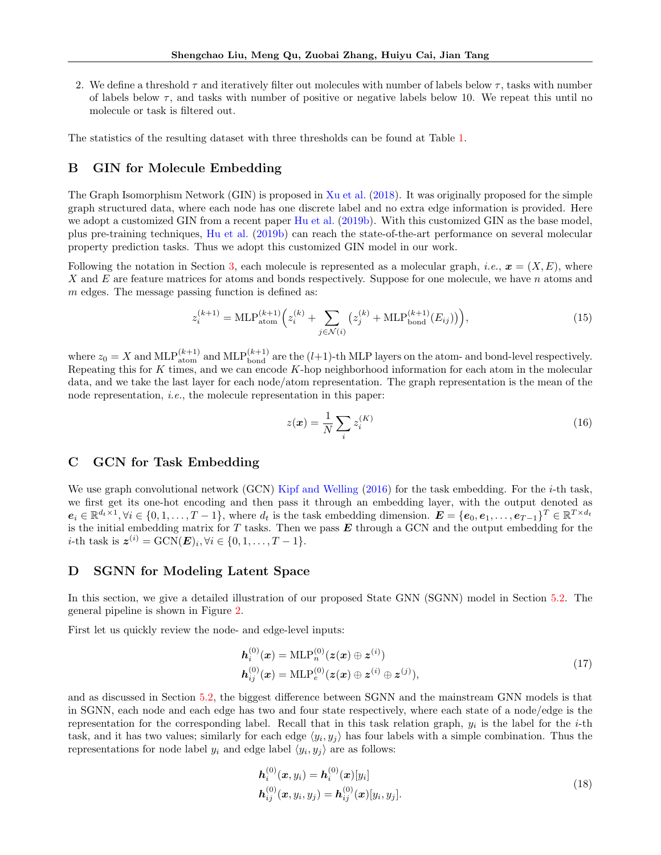2. We define a threshold  $\tau$  and iteratively filter out molecules with number of labels below  $\tau$ , tasks with number of labels below  $\tau$ , and tasks with number of positive or negative labels below 10. We repeat this until no molecule or task is filtered out.

The statistics of the resulting dataset with three thresholds can be found at Table [1.](#page-3-1)

# <span id="page-12-1"></span>B GIN for Molecule Embedding

The Graph Isomorphism Network (GIN) is proposed in [Xu et al.](#page-10-7) [\(2018\)](#page-10-7). It was originally proposed for the simple graph structured data, where each node has one discrete label and no extra edge information is provided. Here we adopt a customized GIN from a recent paper [Hu et al.](#page-8-1) [\(2019b\)](#page-8-1). With this customized GIN as the base model, plus pre-training techniques, [Hu et al.](#page-8-1) [\(2019b\)](#page-8-1) can reach the state-of-the-art performance on several molecular property prediction tasks. Thus we adopt this customized GIN model in our work.

Following the notation in Section [3,](#page-2-2) each molecule is represented as a molecular graph, *i.e.*,  $x = (X, E)$ , where X and  $E$  are feature matrices for atoms and bonds respectively. Suppose for one molecule, we have n atoms and  $m$  edges. The message passing function is defined as:

$$
z_i^{(k+1)} = \text{MLP}_{\text{atom}}^{(k+1)} \left( z_i^{(k)} + \sum_{j \in \mathcal{N}(i)} \left( z_j^{(k)} + \text{MLP}_{\text{bond}}^{(k+1)} (E_{ij}) \right) \right),\tag{15}
$$

where  $z_0 = X$  and  $MLP_{atom}^{(k+1)}$  and  $MLP_{bond}^{(k+1)}$  are the  $(l+1)$ -th MLP layers on the atom- and bond-level respectively. Repeating this for K times, and we can encode  $K$ -hop neighborhood information for each atom in the molecular data, and we take the last layer for each node/atom representation. The graph representation is the mean of the node representation, *i.e.*, the molecule representation in this paper:

$$
z(\boldsymbol{x}) = \frac{1}{N} \sum_{i} z_i^{(K)} \tag{16}
$$

# <span id="page-12-2"></span>C GCN for Task Embedding

We use graph convolutional network (GCN) [Kipf and Welling](#page-9-6)  $(2016)$  for the task embedding. For the *i*-th task, we first get its one-hot encoding and then pass it through an embedding layer, with the output denoted as  $e_i \in \mathbb{R}^{d_t \times 1}, \forall i \in \{0, 1, \ldots, T-1\},\$  where  $d_t$  is the task embedding dimension.  $\boldsymbol{E} = \{e_0, e_1, \ldots, e_{T-1}\}^T \in \mathbb{R}^{T \times d_t}$ is the initial embedding matrix for  $T$  tasks. Then we pass  $E$  through a GCN and the output embedding for the *i*-th task is  $\mathbf{z}^{(i)} = \text{GCN}(\mathbf{E})_i, \forall i \in \{0, 1, \dots, T-1\}.$ 

# <span id="page-12-0"></span>D SGNN for Modeling Latent Space

In this section, we give a detailed illustration of our proposed State GNN (SGNN) model in Section [5.2.](#page-4-0) The general pipeline is shown in Figure [2.](#page-13-1)

First let us quickly review the node- and edge-level inputs:

$$
h_i^{(0)}(x) = \text{MLP}_n^{(0)}(z(x) \oplus z^{(i)})
$$
  
\n
$$
h_{ij}^{(0)}(x) = \text{MLP}_e^{(0)}(z(x) \oplus z^{(i)} \oplus z^{(j)}),
$$
\n(17)

and as discussed in Section [5.2,](#page-4-0) the biggest difference between SGNN and the mainstream GNN models is that in SGNN, each node and each edge has two and four state respectively, where each state of a node/edge is the representation for the corresponding label. Recall that in this task relation graph,  $y_i$  is the label for the *i*-th task, and it has two values; similarly for each edge  $\langle y_i, y_j \rangle$  has four labels with a simple combination. Thus the representations for node label  $y_i$  and edge label  $\langle y_i, y_j \rangle$  are as follows:

$$
\begin{aligned} \mathbf{h}_i^{(0)}(\mathbf{x}, y_i) &= \mathbf{h}_i^{(0)}(\mathbf{x})[y_i] \\ \mathbf{h}_{ij}^{(0)}(\mathbf{x}, y_i, y_j) &= \mathbf{h}_{ij}^{(0)}(\mathbf{x})[y_i, y_j]. \end{aligned} \tag{18}
$$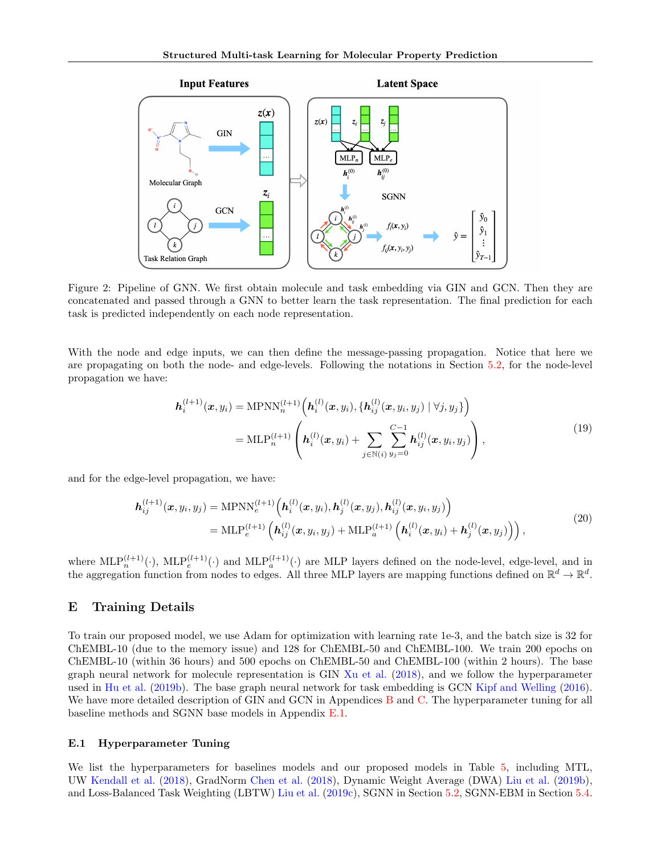<span id="page-13-1"></span>

Figure 2: Pipeline of GNN. We first obtain molecule and task embedding via GIN and GCN. Then they are concatenated and passed through a GNN to better learn the task representation. The final prediction for each task is predicted independently on each node representation.

With the node and edge inputs, we can then define the message-passing propagation. Notice that here we are propagating on both the node- and edge-levels. Following the notations in Section [5.2,](#page-4-0) for the node-level propagation we have:

$$
\mathbf{h}_{i}^{(l+1)}(\boldsymbol{x}, y_{i}) = \text{MPNN}_{n}^{(l+1)}\left(\mathbf{h}_{i}^{(l)}(\boldsymbol{x}, y_{i}), \{\mathbf{h}_{ij}^{(l)}(\boldsymbol{x}, y_{i}, y_{j}) \mid \forall j, y_{j}\}\right) \n= \text{MLP}_{n}^{(l+1)}\left(\mathbf{h}_{i}^{(l)}(\boldsymbol{x}, y_{i}) + \sum_{j \in \mathbb{N}(i)} \sum_{y_{j}=0}^{C-1} \mathbf{h}_{ij}^{(l)}(\boldsymbol{x}, y_{i}, y_{j})\right),
$$
\n(19)

and for the edge-level propagation, we have:

$$
\boldsymbol{h}_{ij}^{(l+1)}(\boldsymbol{x}, y_i, y_j) = \text{MPNN}_e^{(l+1)} \Big( \boldsymbol{h}_i^{(l)}(\boldsymbol{x}, y_i), \boldsymbol{h}_j^{(l)}(\boldsymbol{x}, y_j), \boldsymbol{h}_{ij}^{(l)}(\boldsymbol{x}, y_i, y_j) \Big) \n= \text{MLP}_e^{(l+1)} \Big( \boldsymbol{h}_{ij}^{(l)}(\boldsymbol{x}, y_i, y_j) + \text{MLP}_a^{(l+1)} \Big( \boldsymbol{h}_i^{(l)}(\boldsymbol{x}, y_i) + \boldsymbol{h}_j^{(l)}(\boldsymbol{x}, y_j) \Big) \Big),
$$
\n(20)

where  $\text{MLP}_n^{(l+1)}(\cdot)$ ,  $\text{MLP}_e^{(l+1)}(\cdot)$  and  $\text{MLP}_a^{(l+1)}(\cdot)$  are MLP layers defined on the node-level, edge-level, and in the aggregation function from nodes to edges. All three MLP layers are mapping functions defined on  $\mathbb{R}^d \to \mathbb{R}^d$ .

# <span id="page-13-0"></span>E Training Details

To train our proposed model, we use Adam for optimization with learning rate 1e-3, and the batch size is 32 for ChEMBL-10 (due to the memory issue) and 128 for ChEMBL-50 and ChEMBL-100. We train 200 epochs on ChEMBL-10 (within 36 hours) and 500 epochs on ChEMBL-50 and ChEMBL-100 (within 2 hours). The base graph neural network for molecule representation is GIN [Xu et al.](#page-10-7) [\(2018\)](#page-10-7), and we follow the hyperparameter used in [Hu et al.](#page-8-1) [\(2019b\)](#page-8-1). The base graph neural network for task embedding is GCN [Kipf and Welling](#page-9-6) [\(2016\)](#page-9-6). We have more detailed description of GIN and GCN in Appendices [B](#page-12-1) and [C.](#page-12-2) The hyperparameter tuning for all baseline methods and SGNN base models in Appendix [E.1.](#page-13-2)

#### <span id="page-13-2"></span>E.1 Hyperparameter Tuning

We list the hyperparameters for baselines models and our proposed models in Table [5,](#page-14-1) including MTL, UW [Kendall et al.](#page-9-13) [\(2018\)](#page-9-13), GradNorm [Chen et al.](#page-8-5) [\(2018\)](#page-8-5), Dynamic Weight Average (DWA) [Liu et al.](#page-9-14) [\(2019b\)](#page-9-14), and Loss-Balanced Task Weighting (LBTW) [Liu et al.](#page-9-3) [\(2019c\)](#page-9-3), SGNN in Section [5.2,](#page-4-0) SGNN-EBM in Section [5.4.](#page-5-3)